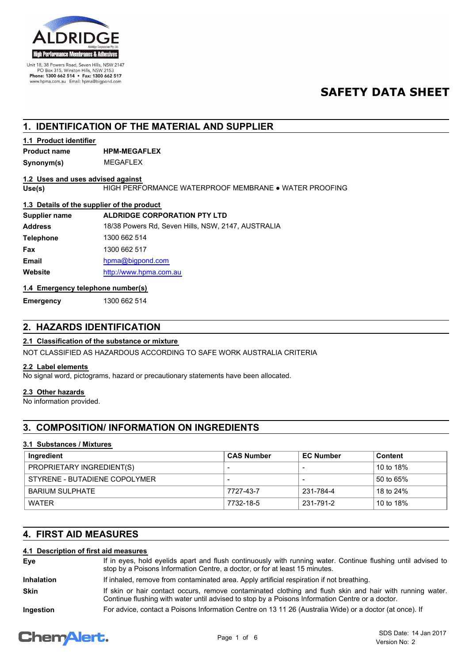

PO Box 315, Winston Hills, NSW 2153<br>Po Box 315, Winston Hills, NSW 2153<br>Phone: 1300 662 514 • Fax: 1300 662 517 www.hpma.com.au Email: hpma@bigpond.com

## **SAFETY DATA SHEET**

## **1. IDENTIFICATION OF THE MATERIAL AND SUPPLIER**

#### **1.1 Product identifier**

## **Product name HPM-MEGAFLEX**

**Synonym(s)** MEGAFLEX

#### **1.2 Uses and uses advised against**

**Use(s)** HIGH PERFORMANCE WATERPROOF MEMBRANE ● WATER PROOFING

#### **1.3 Details of the supplier of the product**

| 18/38 Powers Rd, Seven Hills, NSW, 2147, AUSTRALIA |
|----------------------------------------------------|
|                                                    |
|                                                    |
|                                                    |
|                                                    |
|                                                    |

#### **1.4 Emergency telephone number(s)**

**Emergency** 1300 662 514

## **2. HAZARDS IDENTIFICATION**

#### **2.1 Classification of the substance or mixture**

NOT CLASSIFIED AS HAZARDOUS ACCORDING TO SAFE WORK AUSTRALIA CRITERIA

#### **2.2 Label elements**

No signal word, pictograms, hazard or precautionary statements have been allocated.

#### **2.3 Other hazards**

No information provided.

## **3. COMPOSITION/ INFORMATION ON INGREDIENTS**

#### **3.1 Substances / Mixtures**

| Ingredient                    | <b>CAS Number</b> | <b>EC Number</b> | <b>Content</b> |
|-------------------------------|-------------------|------------------|----------------|
| PROPRIETARY INGREDIENT(S)     |                   |                  | 10 to 18%      |
| STYRENE - BUTADIENE COPOLYMER |                   |                  | 50 to 65%      |
| <b>BARIUM SULPHATE</b>        | 7727-43-7         | 231-784-4        | 18 to 24%      |
| <b>WATFR</b>                  | 7732-18-5         | 231-791-2        | 10 to 18%      |

## **4. FIRST AID MEASURES**

#### **4.1 Description of first aid measures**

| Eye               | If in eyes, hold eyelids apart and flush continuously with running water. Continue flushing until advised to<br>stop by a Poisons Information Centre, a doctor, or for at least 15 minutes.                 |
|-------------------|-------------------------------------------------------------------------------------------------------------------------------------------------------------------------------------------------------------|
| <b>Inhalation</b> | If inhaled, remove from contaminated area. Apply artificial respiration if not breathing.                                                                                                                   |
| <b>Skin</b>       | If skin or hair contact occurs, remove contaminated clothing and flush skin and hair with running water.<br>Continue flushing with water until advised to stop by a Poisons Information Centre or a doctor. |
| Ingestion         | For advice, contact a Poisons Information Centre on 13 11 26 (Australia Wide) or a doctor (at once). If                                                                                                     |

## **ChemAlert.**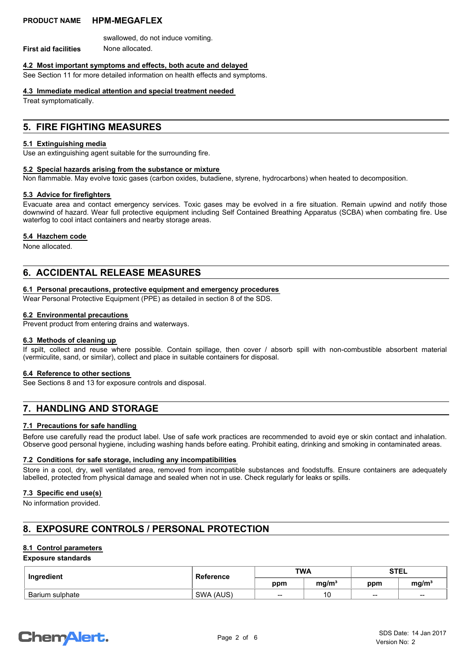swallowed, do not induce vomiting.

**First aid facilities** None allocated.

#### **4.2 Most important symptoms and effects, both acute and delayed**

See Section 11 for more detailed information on health effects and symptoms.

#### **4.3 Immediate medical attention and special treatment needed**

Treat symptomatically.

## **5. FIRE FIGHTING MEASURES**

#### **5.1 Extinguishing media**

Use an extinguishing agent suitable for the surrounding fire.

#### **5.2 Special hazards arising from the substance or mixture**

Non flammable. May evolve toxic gases (carbon oxides, butadiene, styrene, hydrocarbons) when heated to decomposition.

#### **5.3 Advice for firefighters**

Evacuate area and contact emergency services. Toxic gases may be evolved in a fire situation. Remain upwind and notify those downwind of hazard. Wear full protective equipment including Self Contained Breathing Apparatus (SCBA) when combating fire. Use waterfog to cool intact containers and nearby storage areas.

#### **5.4 Hazchem code**

None allocated.

## **6. ACCIDENTAL RELEASE MEASURES**

### **6.1 Personal precautions, protective equipment and emergency procedures**

Wear Personal Protective Equipment (PPE) as detailed in section 8 of the SDS.

#### **6.2 Environmental precautions**

**Prevent product from entering drains and waterways.** 

#### **6.3 Methods of cleaning up**

If spilt, collect and reuse where possible. Contain spillage, then cover / absorb spill with non-combustible absorbent material (vermiculite, sand, or similar), collect and place in suitable containers for disposal.

#### **6.4 Reference to other sections**

See Sections 8 and 13 for exposure controls and disposal.

## **7. HANDLING AND STORAGE**

#### **7.1 Precautions for safe handling**

Before use carefully read the product label. Use of safe work practices are recommended to avoid eye or skin contact and inhalation. Observe good personal hygiene, including washing hands before eating. Prohibit eating, drinking and smoking in contaminated areas.

#### **7.2 Conditions for safe storage, including any incompatibilities**

Store in a cool, dry, well ventilated area, removed from incompatible substances and foodstuffs. Ensure containers are adequately labelled, protected from physical damage and sealed when not in use. Check regularly for leaks or spills.

#### **7.3 Specific end use(s)**

No information provided.

## **8. EXPOSURE CONTROLS / PERSONAL PROTECTION**

#### **8.1 Control parameters**

#### **Exposure standards**

| Ingredient      | Reference | <b>TWA</b>               |                   | <b>STEL</b>              |                   |
|-----------------|-----------|--------------------------|-------------------|--------------------------|-------------------|
|                 |           | ppm                      | mg/m <sup>3</sup> | ppm                      | mg/m <sup>3</sup> |
| Barium sulphate | SWA (AUS) | $\overline{\phantom{m}}$ | 10                | $\overline{\phantom{m}}$ | $- -$             |

# **ChemAlert.**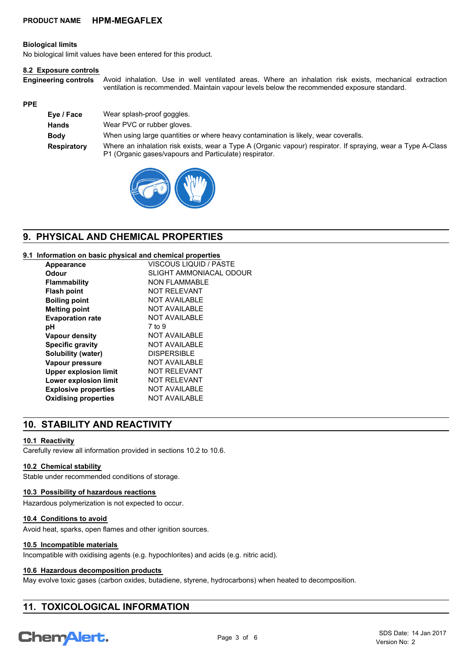#### **Biological limits**

No biological limit values have been entered for this product.

#### **8.2 Exposure controls**

Avoid inhalation. Use in well ventilated areas. Where an inhalation risk exists, mechanical extraction ventilation is recommended. Maintain vapour levels below the recommended exposure standard. **Engineering controls**

#### **PPE**

| Eye / Face  | Wear splash-proof goggles.                                                                                                                                             |
|-------------|------------------------------------------------------------------------------------------------------------------------------------------------------------------------|
| Hands       | Wear PVC or rubber gloves.                                                                                                                                             |
| Body        | When using large quantities or where heavy contamination is likely, wear coveralls.                                                                                    |
| Respiratory | Where an inhalation risk exists, wear a Type A (Organic vapour) respirator. If spraying, wear a Type A-Class<br>P1 (Organic gases/vapours and Particulate) respirator. |



## **9. PHYSICAL AND CHEMICAL PROPERTIES**

#### **9.1 Information on basic physical and chemical properties**

| Appearance                   | <b>VISCOUS LIQUID / PASTE</b> |
|------------------------------|-------------------------------|
| Odour                        | SLIGHT AMMONIACAL ODOUR       |
| <b>Flammability</b>          | <b>NON FLAMMABLE</b>          |
| <b>Flash point</b>           | <b>NOT RELEVANT</b>           |
| <b>Boiling point</b>         | <b>NOT AVAILABLE</b>          |
| <b>Melting point</b>         | <b>NOT AVAILABLE</b>          |
| <b>Evaporation rate</b>      | <b>NOT AVAILABLE</b>          |
| рH                           | 7 to 9                        |
| Vapour density               | <b>NOT AVAILABLE</b>          |
| <b>Specific gravity</b>      | <b>NOT AVAILABLE</b>          |
| Solubility (water)           | <b>DISPERSIBLE</b>            |
| Vapour pressure              | <b>NOT AVAILABLE</b>          |
| <b>Upper explosion limit</b> | <b>NOT RELEVANT</b>           |
| Lower explosion limit        | <b>NOT RELEVANT</b>           |
| <b>Explosive properties</b>  | <b>NOT AVAILABLE</b>          |
| <b>Oxidising properties</b>  | <b>NOT AVAILABLE</b>          |

## **10. STABILITY AND REACTIVITY**

#### **10.1 Reactivity**

Carefully review all information provided in sections 10.2 to 10.6.

#### **10.2 Chemical stability**

Stable under recommended conditions of storage.

#### **10.3 Possibility of hazardous reactions**

Hazardous polymerization is not expected to occur.

#### **10.4 Conditions to avoid**

Avoid heat, sparks, open flames and other ignition sources.

#### **10.5 Incompatible materials**

Incompatible with oxidising agents (e.g. hypochlorites) and acids (e.g. nitric acid).

#### **10.6 Hazardous decomposition products**

May evolve toxic gases (carbon oxides, butadiene, styrene, hydrocarbons) when heated to decomposition.

## **11. TOXICOLOGICAL INFORMATION**

# **ChemAlert.**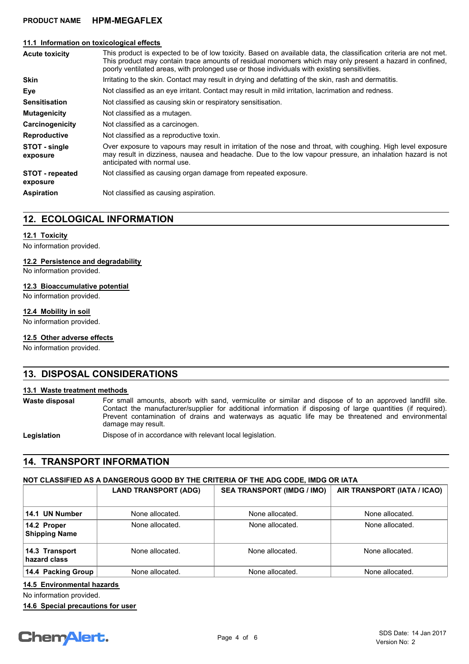#### **11.1 Information on toxicological effects**

| <b>Acute toxicity</b>              | This product is expected to be of low toxicity. Based on available data, the classification criteria are not met.<br>This product may contain trace amounts of residual monomers which may only present a hazard in confined,<br>poorly ventilated areas, with prolonged use or those individuals with existing sensitivities. |  |  |
|------------------------------------|--------------------------------------------------------------------------------------------------------------------------------------------------------------------------------------------------------------------------------------------------------------------------------------------------------------------------------|--|--|
| <b>Skin</b>                        | Irritating to the skin. Contact may result in drying and defatting of the skin, rash and dermatitis.                                                                                                                                                                                                                           |  |  |
| Eye                                | Not classified as an eye irritant. Contact may result in mild irritation, lacrimation and redness.                                                                                                                                                                                                                             |  |  |
| <b>Sensitisation</b>               | Not classified as causing skin or respiratory sensitisation.                                                                                                                                                                                                                                                                   |  |  |
| <b>Mutagenicity</b>                | Not classified as a mutagen.                                                                                                                                                                                                                                                                                                   |  |  |
| Carcinogenicity                    | Not classified as a carcinogen.                                                                                                                                                                                                                                                                                                |  |  |
| <b>Reproductive</b>                | Not classified as a reproductive toxin.                                                                                                                                                                                                                                                                                        |  |  |
| STOT - single<br>exposure          | Over exposure to vapours may result in irritation of the nose and throat, with coughing. High level exposure<br>may result in dizziness, nausea and headache. Due to the low vapour pressure, an inhalation hazard is not<br>anticipated with normal use.                                                                      |  |  |
| <b>STOT</b> - repeated<br>exposure | Not classified as causing organ damage from repeated exposure.                                                                                                                                                                                                                                                                 |  |  |
| <b>Aspiration</b>                  | Not classified as causing aspiration.                                                                                                                                                                                                                                                                                          |  |  |

## **12. ECOLOGICAL INFORMATION**

#### **12.1 Toxicity**

No information provided.

#### **12.2 Persistence and degradability**

No information provided.

#### **12.3 Bioaccumulative potential**

No information provided.

#### **12.4 Mobility in soil**

No information provided.

#### **12.5 Other adverse effects**

No information provided.

## **13. DISPOSAL CONSIDERATIONS**

#### **13.1 Waste treatment methods**

For small amounts, absorb with sand, vermiculite or similar and dispose of to an approved landfill site. Contact the manufacturer/supplier for additional information if disposing of large quantities (if required). Prevent contamination of drains and waterways as aquatic life may be threatened and environmental damage may result. **Waste disposal**

Legislation **Dispose of in accordance with relevant local legislation.** 

## **14. TRANSPORT INFORMATION**

#### **NOT CLASSIFIED AS A DANGEROUS GOOD BY THE CRITERIA OF THE ADG CODE, IMDG OR IATA**

|                                     | <b>LAND TRANSPORT (ADG)</b> | <b>SEA TRANSPORT (IMDG / IMO)</b> | AIR TRANSPORT (IATA / ICAO) |
|-------------------------------------|-----------------------------|-----------------------------------|-----------------------------|
| 14.1 UN Number                      | None allocated.             | None allocated.                   | None allocated.             |
| 14.2 Proper<br><b>Shipping Name</b> | None allocated.             | None allocated.                   | None allocated.             |
| 14.3 Transport<br>hazard class      | None allocated.             | None allocated.                   | None allocated.             |
| 14.4 Packing Group                  | None allocated.             | None allocated.                   | None allocated.             |

**14.5 Environmental hazards**

No information provided.

**14.6 Special precautions for user**

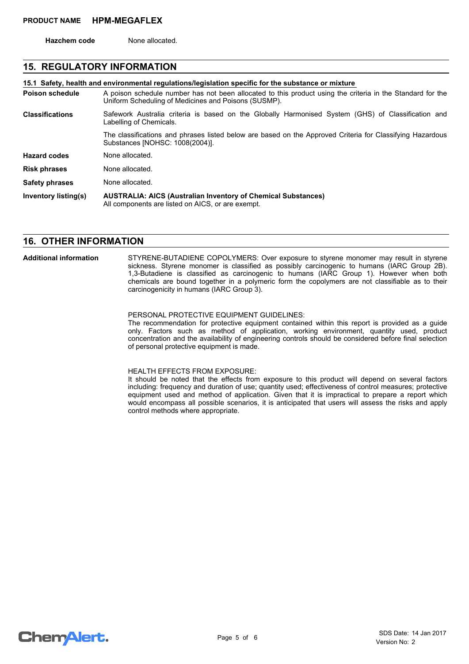**Hazchem code** None allocated.

## **15. REGULATORY INFORMATION**

**15.1 Safety, health and environmental regulations/legislation specific for the substance or mixture**

A poison schedule number has not been allocated to this product using the criteria in the Standard for the Uniform Scheduling of Medicines and Poisons (SUSMP). **Poison schedule** Safework Australia criteria is based on the Globally Harmonised System (GHS) of Classification and Labelling of Chemicals. The classifications and phrases listed below are based on the Approved Criteria for Classifying Hazardous Substances [NOHSC: 1008(2004)]. **Classifications**

**Hazard codes** None allocated.

**Risk phrases** None allocated.

**Safety phrases** None allocated.

**AUSTRALIA: AICS (Australian Inventory of Chemical Substances)** All components are listed on AICS, or are exempt. **Inventory listing(s)**

## **16. OTHER INFORMATION**

**Additional information**

STYRENE-BUTADIENE COPOLYMERS: Over exposure to styrene monomer may result in styrene sickness. Styrene monomer is classified as possibly carcinogenic to humans (IARC Group 2B). 1,3-Butadiene is classified as carcinogenic to humans (IARC Group 1). However when both chemicals are bound together in a polymeric form the copolymers are not classifiable as to their carcinogenicity in humans (IARC Group 3).

PERSONAL PROTECTIVE EQUIPMENT GUIDELINES:

The recommendation for protective equipment contained within this report is provided as a guide only. Factors such as method of application, working environment, quantity used, product concentration and the availability of engineering controls should be considered before final selection of personal protective equipment is made.

HEALTH EFFECTS FROM EXPOSURE:

It should be noted that the effects from exposure to this product will depend on several factors including: frequency and duration of use; quantity used; effectiveness of control measures; protective equipment used and method of application. Given that it is impractical to prepare a report which would encompass all possible scenarios, it is anticipated that users will assess the risks and apply control methods where appropriate.